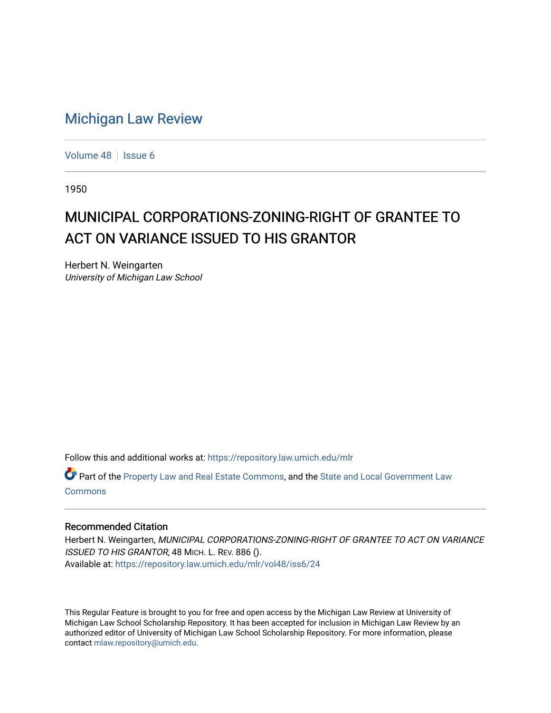## [Michigan Law Review](https://repository.law.umich.edu/mlr)

[Volume 48](https://repository.law.umich.edu/mlr/vol48) | [Issue 6](https://repository.law.umich.edu/mlr/vol48/iss6)

1950

## MUNICIPAL CORPORATIONS-ZONING-RIGHT OF GRANTEE TO ACT ON VARIANCE ISSUED TO HIS GRANTOR

Herbert N. Weingarten University of Michigan Law School

Follow this and additional works at: [https://repository.law.umich.edu/mlr](https://repository.law.umich.edu/mlr?utm_source=repository.law.umich.edu%2Fmlr%2Fvol48%2Fiss6%2F24&utm_medium=PDF&utm_campaign=PDFCoverPages) 

Part of the [Property Law and Real Estate Commons,](http://network.bepress.com/hgg/discipline/897?utm_source=repository.law.umich.edu%2Fmlr%2Fvol48%2Fiss6%2F24&utm_medium=PDF&utm_campaign=PDFCoverPages) and the [State and Local Government Law](http://network.bepress.com/hgg/discipline/879?utm_source=repository.law.umich.edu%2Fmlr%2Fvol48%2Fiss6%2F24&utm_medium=PDF&utm_campaign=PDFCoverPages) [Commons](http://network.bepress.com/hgg/discipline/879?utm_source=repository.law.umich.edu%2Fmlr%2Fvol48%2Fiss6%2F24&utm_medium=PDF&utm_campaign=PDFCoverPages)

## Recommended Citation

Herbert N. Weingarten, MUNICIPAL CORPORATIONS-ZONING-RIGHT OF GRANTEE TO ACT ON VARIANCE ISSUED TO HIS GRANTOR, 48 MICH. L. REV. 886 (). Available at: [https://repository.law.umich.edu/mlr/vol48/iss6/24](https://repository.law.umich.edu/mlr/vol48/iss6/24?utm_source=repository.law.umich.edu%2Fmlr%2Fvol48%2Fiss6%2F24&utm_medium=PDF&utm_campaign=PDFCoverPages) 

This Regular Feature is brought to you for free and open access by the Michigan Law Review at University of Michigan Law School Scholarship Repository. It has been accepted for inclusion in Michigan Law Review by an authorized editor of University of Michigan Law School Scholarship Repository. For more information, please contact [mlaw.repository@umich.edu](mailto:mlaw.repository@umich.edu).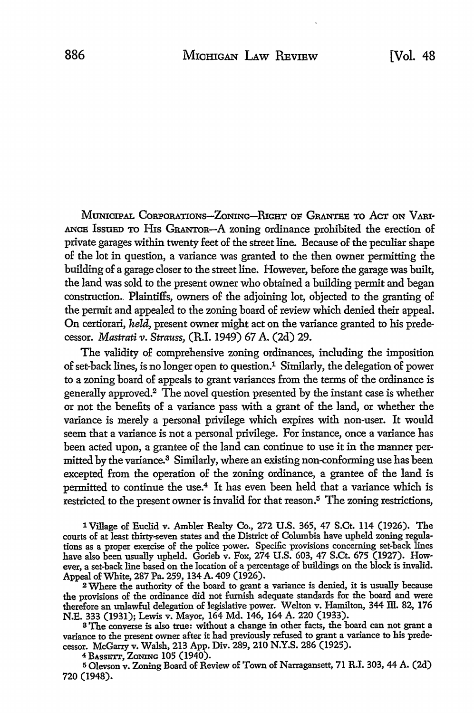MUNICIPAL CORPORATIONS-ZONING-RIGHT OF GRANTEE TO ACT ON VARI-ANCB IssuED TO Hts GRANToR-A zoning ordinance prohibited the erection of private garages within twenty feet of the street line. Because of the peculiar shape of the lot in question, a variance was granted to the then owner permitting the building of a garage closer to the street line. However, before the garage was built, the land was sold to the present owner who obtained a building permit and began construction. Plaintiffs, owners of the adjoining lot, objected to the granting of the permit and appealed to the zoning board of review which denied their appeal. On certiorari, *held,* present owner might act on the variance granted to his predecessor. *Mastrati v. Strauss,* (R.1. 1949) 67 A. (2d) 29.

The validity of comprehensive zoning ordinances, including the imposition of set-back lines, is no longer open to question.1 Similarly, the delegation of power to a zoning board of appeals to grant variances from the terms of the ordinance is generally approved.2 The novel question presented by the instant case is whether or not the benefits of a variance pass with a grant of the land, or whether the variance is merely a personal privilege which expires with non-user. It would seem that a variance is not a personal privilege. For instance, once a variance has been acted upon, a grantee of the land can continue to use it in the manner permitted by the variance.<sup>3</sup> Similarly, where an existing non-conforming use has been excepted from the operation of the zoning ordinance, a grantee of the land is permitted to continue the use.4 It has even been held that a variance which is restricted to the present owner is invalid for that reason.<sup>5</sup> The zoning restrictions,

1 Village of Euclid v. Ambler Realty Co., 272 U.S. 365, 47 S.Ct. 114 (1926). The courts of at least thirty-seven states and the District of Columbia have upheld zoning regulations as a proper exercise of the police power. Specific provisions concerning set-back lines have also been usually upheld. Gorieb v. Fox, 274 U.S. 603, 47 S.Ct. 675 (1927). However, a set-back line based on the location of a percentage of buildings on the block is invalid. Appeal of White, 287 Pa. 259, 134 A. 409 (1926).

<sup>2</sup>Where the authority of the board to grant a variance is denied, it is usually because the provisions of the ordinance did not furnish adequate standards for the board and were therefore an unlawful delegation of legislative power. Welton v. Hamilton, 344 Ill. 82, 176 N.E. 333 (1931); Lewis v. Mayor, 164 Md. 146, 164 A. 220 (1933).

<sup>3</sup>The converse is also true: without a change in other facts, the board can not grant a variance to the present owner after it had previously refused to grant a variance to his predecessor. McGarry v. Walsh, 213 App. Div. 289, 210 N.Y.S. 286 (1925).

4 BASSETI', ZONING 105 (1940).

<sup>5</sup>Olevson v. Zoning Board of Review of Town of Narragansett, 71 R.I. 303, 44 A. (2d) 720 (1948).